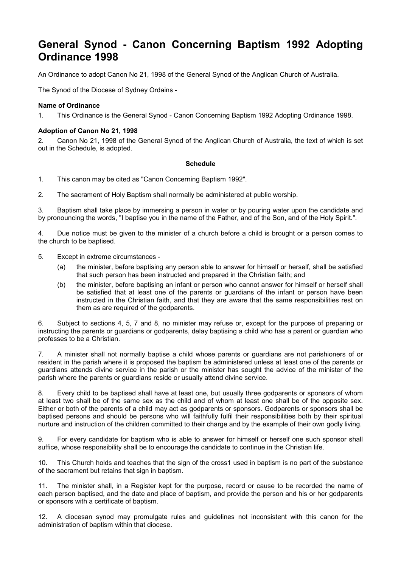# **General Synod - Canon Concerning Baptism 1992 Adopting Ordinance 1998**

An Ordinance to adopt Canon No 21, 1998 of the General Synod of the Anglican Church of Australia.

The Synod of the Diocese of Sydney Ordains -

### **Name of Ordinance**

1. This Ordinance is the General Synod - Canon Concerning Baptism 1992 Adopting Ordinance 1998.

#### **Adoption of Canon No 21, 1998**

2. Canon No 21, 1998 of the General Synod of the Anglican Church of Australia, the text of which is set out in the Schedule, is adopted.

#### **Schedule**

1. This canon may be cited as "Canon Concerning Baptism 1992".

2. The sacrament of Holy Baptism shall normally be administered at public worship.

3. Baptism shall take place by immersing a person in water or by pouring water upon the candidate and by pronouncing the words, "I baptise you in the name of the Father, and of the Son, and of the Holy Spirit.".

4. Due notice must be given to the minister of a church before a child is brought or a person comes to the church to be baptised.

- 5. Except in extreme circumstances
	- (a) the minister, before baptising any person able to answer for himself or herself, shall be satisfied that such person has been instructed and prepared in the Christian faith; and
	- (b) the minister, before baptising an infant or person who cannot answer for himself or herself shall be satisfied that at least one of the parents or guardians of the infant or person have been instructed in the Christian faith, and that they are aware that the same responsibilities rest on them as are required of the godparents.

6. Subject to sections 4, 5, 7 and 8, no minister may refuse or, except for the purpose of preparing or instructing the parents or guardians or godparents, delay baptising a child who has a parent or guardian who professes to be a Christian.

7. A minister shall not normally baptise a child whose parents or guardians are not parishioners of or resident in the parish where it is proposed the baptism be administered unless at least one of the parents or guardians attends divine service in the parish or the minister has sought the advice of the minister of the parish where the parents or guardians reside or usually attend divine service.

Every child to be baptised shall have at least one, but usually three godparents or sponsors of whom at least two shall be of the same sex as the child and of whom at least one shall be of the opposite sex. Either or both of the parents of a child may act as godparents or sponsors. Godparents or sponsors shall be baptised persons and should be persons who will faithfully fulfil their responsibilities both by their spiritual nurture and instruction of the children committed to their charge and by the example of their own godly living.

9. For every candidate for baptism who is able to answer for himself or herself one such sponsor shall suffice, whose responsibility shall be to encourage the candidate to continue in the Christian life.

10. This Church holds and teaches that the sign of the cross1 used in baptism is no part of the substance of the sacrament but retains that sign in baptism.

11. The minister shall, in a Register kept for the purpose, record or cause to be recorded the name of each person baptised, and the date and place of baptism, and provide the person and his or her godparents or sponsors with a certificate of baptism.

12. A diocesan synod may promulgate rules and guidelines not inconsistent with this canon for the administration of baptism within that diocese.